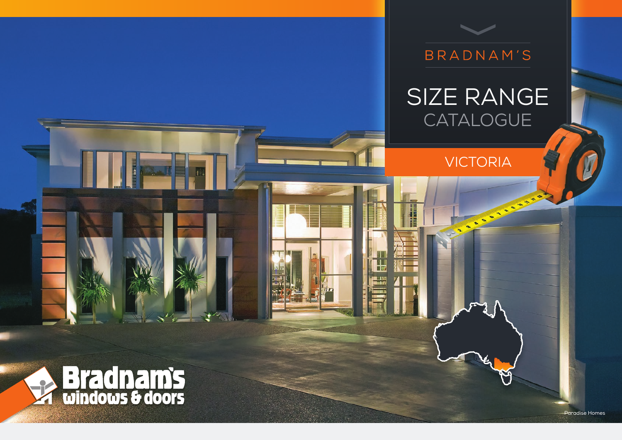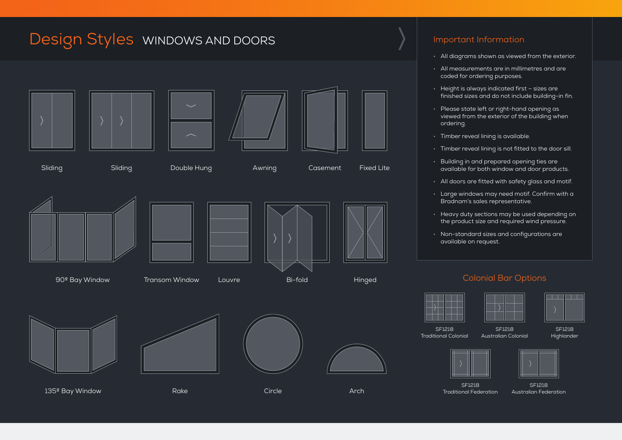# Design Styles WINDOWS AND DOORS Important Information









Sliding Sliding Double Hung Awning Casement Fixed Lite





90º Bay Window Transom Window Louvre Bi-fold Hinged



135º Bay Window **Rake Circle Circle Architect Architect Architect Architect Architect Architect Architect Arch** 









- All diagrams shown as viewed from the exterior.
- All measurements are in millimetres and are coded for ordering purposes.
- Height is always indicated first sizes are finished sizes and do not include building-in fin.
- Please state left or right-hand opening as viewed from the exterior of the building when ordering.
- Timber reveal lining is available.
- Timber reveal lining is not fitted to the door sill.
- Building in and prepared opening ties are available for both window and door products.
- All doors are fitted with safety glass and motif.
- Large windows may need motif. Confirm with a Bradnam's sales representative.
- Heavy duty sections may be used depending on the product size and required wind pressure.
- Non-standard sizes and configurations are available on request.

### Colonial Bar Options

Australian Colonial



Traditional Colonial





SF1218 Traditional Federation



SF1218 Australian Federation

SF1218 Highlander

**The Co** 

a a s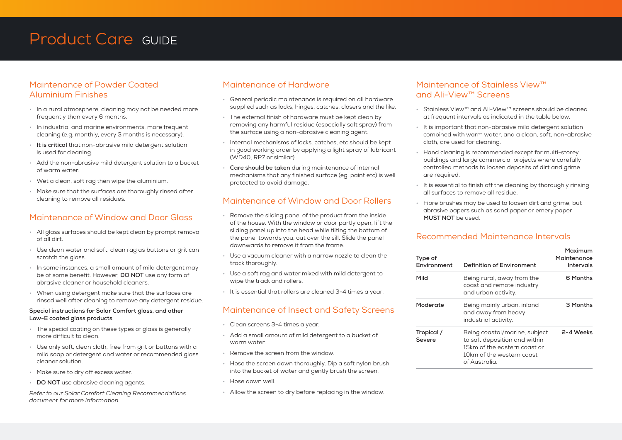# Product Care GUIDE

### Maintenance of Powder Coated Aluminium Finishes

- In a rural atmosphere, cleaning may not be needed more frequently than every 6 months.
- In industrial and marine environments, more frequent cleaning (e.g. monthly, every 3 months is necessary).
- **It is critical** that non-abrasive mild detergent solution is used for cleaning.
- Add the non-abrasive mild detergent solution to a bucket of warm water.
- Wet a clean, soft rag then wipe the aluminium.
- Make sure that the surfaces are thoroughly rinsed after cleaning to remove all residues.

### Maintenance of Window and Door Glass

- All glass surfaces should be kept clean by prompt removal of all dirt.
- Use clean water and soft, clean rag as buttons or grit can scratch the glass.
- In some instances, a small amount of mild detergent may be of some benefit. However, **DO NOT** use any form of abrasive cleaner or household cleaners.
- When using detergent make sure that the surfaces are rinsed well after cleaning to remove any detergent residue.

#### **Special instructions for Solar Comfort glass, and other Low-E coated glass products**

- The special coating on these types of glass is generally more difficult to clean.
- Use only soft, clean cloth, free from grit or buttons with a mild soap or detergent and water or recommended glass cleaner solution.
- Make sure to dry off excess water.
- **DO NOT** use abrasive cleaning agents.

*Refer to our Solar Comfort Cleaning Recommendations document for more information.*

### Maintenance of Hardware

- General periodic maintenance is required on all hardware supplied such as locks, hinges, catches, closers and the like.
- The external finish of hardware must be kept clean by removing any harmful residue (especially salt spray) from the surface using a non-abrasive cleaning agent.
- Internal mechanisms of locks, catches, etc should be kept in good working order by applying a light spray of lubricant (WD40, RP7 or similar).
- **Care should be taken** during maintenance of internal mechanisms that any finished surface (eg. paint etc) is well protected to avoid damage.

### Maintenance of Window and Door Rollers

- Remove the sliding panel of the product from the inside of the house. With the window or door partly open, lift the sliding panel up into the head while tilting the bottom of the panel towards you, out over the sill. Slide the panel downwards to remove it from the frame.
- Use a vacuum cleaner with a narrow nozzle to clean the track thoroughly.
- Use a soft rag and water mixed with mild detergent to wipe the track and rollers.
- It is essential that rollers are cleaned 3-4 times a year.

### Maintenance of Insect and Safety Screens

- Clean screens 3-4 times a year.
- Add a small amount of mild detergent to a bucket of warm water.
- Remove the screen from the window.
- Hose the screen down thoroughly. Dip a soft nylon brush into the bucket of water and gently brush the screen.
- Hose down well.
- Allow the screen to dry before replacing in the window.

### Maintenance of Stainless View™ and Ali-View™ Screens

- Stainless View™ and Ali-View™ screens should be cleaned at frequent intervals as indicated in the table below.
- It is important that non-abrasive mild detergent solution combined with warm water, and a clean, soft, non-abrasive cloth, are used for cleaning.
- Hand cleaning is recommended except for multi-storey buildings and large commercial projects where carefully controlled methods to loosen deposits of dirt and grime are required.
- It is essential to finish off the cleaning by thoroughly rinsing all surfaces to remove all residue.
- Fibre brushes may be used to loosen dirt and grime, but abrasive papers such as sand paper or emery paper **MUST NOT** be used.

### Recommended Maintenance Intervals

| Type of<br>Environment | Definition of Environment                                                                                                                    | Maximum<br>Maintenance<br>Intervals<br>6 Months |  |
|------------------------|----------------------------------------------------------------------------------------------------------------------------------------------|-------------------------------------------------|--|
| Mild                   | Being rural, away from the<br>coast and remote industry<br>and urban activity.                                                               |                                                 |  |
| Moderate               | Being mainly urban, inland<br>and away from heavy<br>industrial activity.                                                                    | 3 Months                                        |  |
| Tropical /<br>Severe   | Being coastal/marine, subject<br>to salt deposition and within<br>15km of the eastern coast or<br>10km of the western coast<br>of Australia. | 2-4 Weeks                                       |  |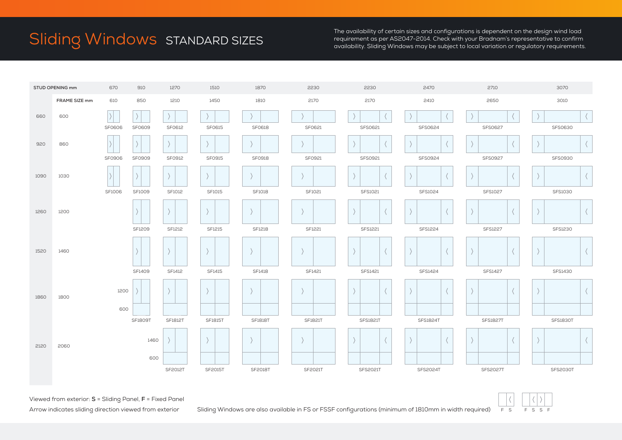# Sliding Windows STANDARD SIZES

The availability of certain sizes and configurations is dependent on the design wind load requirement as per AS2047-2014. Check with your Bradnam's representative to confirm availability. Sliding Windows may be subject to local variation or regulatory requirements.



Viewed from exterior: **S** = Sliding Panel, **F** = Fixed Panel

Arrow indicates sliding direction viewed from exterior Sliding Windows are also available in FS or FSSF configurations (minimum of 1810mm in width required)

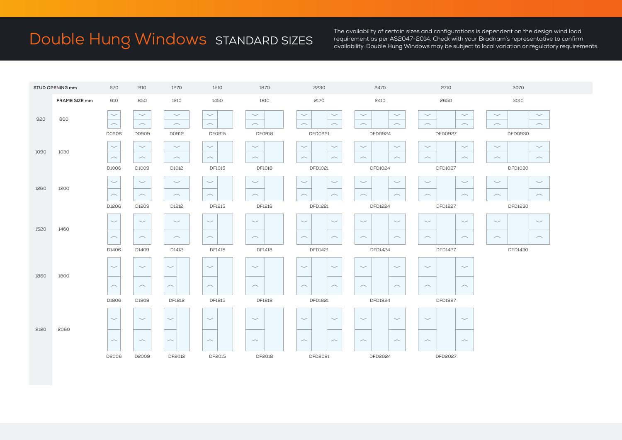# Double Hung Windows STANDARD SIZES

The availability of certain sizes and configurations is dependent on the design wind load requirement as per AS2047-2014. Check with your Bradnam's representative to confirm availability. Double Hung Windows may be subject to local variation or regulatory requirements.

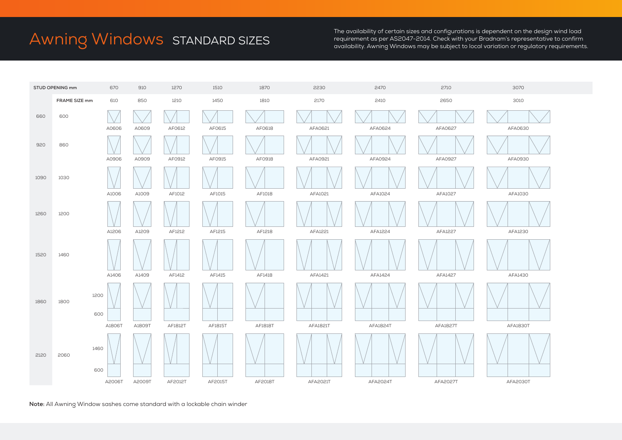# Awning Windows STANDARD SIZES

The availability of certain sizes and configurations is dependent on the design wind load requirement as per AS2047-2014. Check with your Bradnam's representative to confirm availability. Awning Windows may be subject to local variation or regulatory requirements.



**Note:** All Awning Window sashes come standard with a lockable chain winder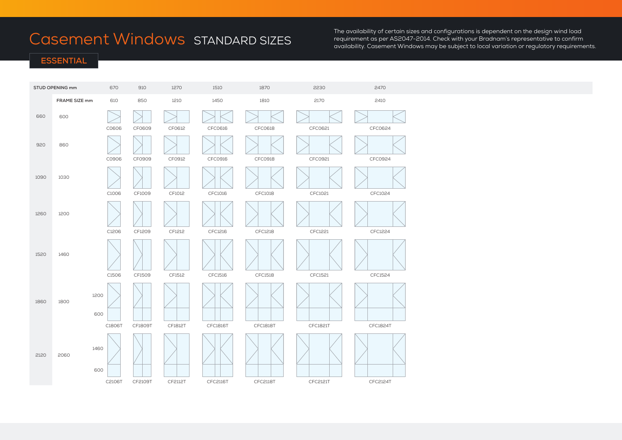# Casement Windows STANDARD SIZES

The availability of certain sizes and configurations is dependent on the design wind load requirement as per AS2047-2014. Check with your Bradnam's representative to confirm availability. Casement Windows may be subject to local variation or regulatory requirements.

### **ESSENTIAL**

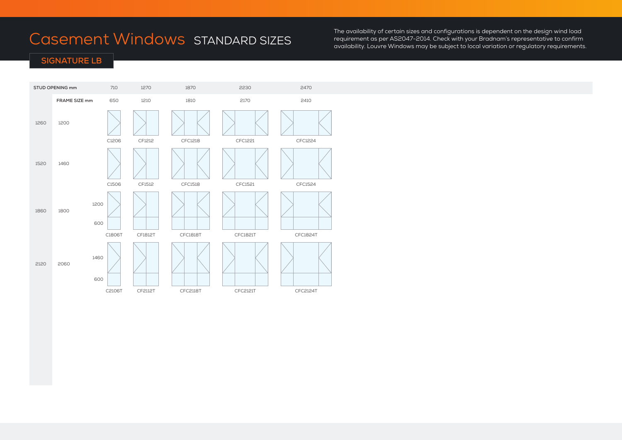# Casement Windows STANDARD SIZES

The availability of certain sizes and configurations is dependent on the design wind load requirement as per AS2047-2014. Check with your Bradnam's representative to confirm availability. Louvre Windows may be subject to local variation or regulatory requirements.

## **SIGNATURE LB**

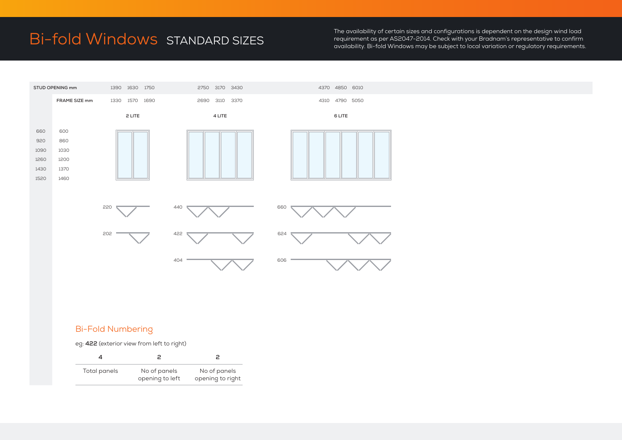# Bi-fold Windows STANDARD SIZES

The availability of certain sizes and configurations is dependent on the design wind load requirement as per AS2047-2014. Check with your Bradnam's representative to confirm availability. Bi-fold Windows may be subject to local variation or regulatory requirements.



### Bi-Fold Numbering

eg: **422** (exterior view from left to right)

| Total panels | No of panels<br>opening to left | No of panels<br>opening to right |
|--------------|---------------------------------|----------------------------------|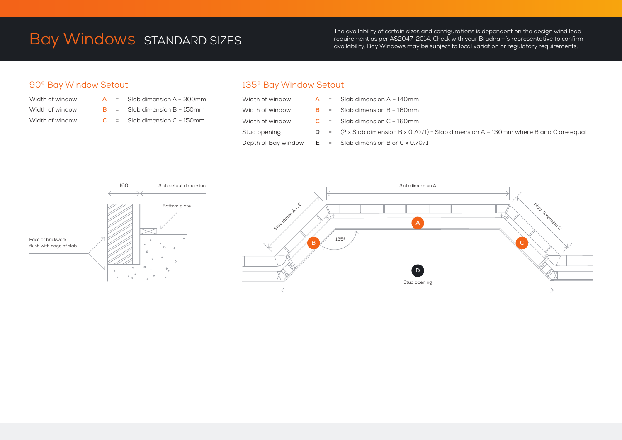# Bay Windows STANDARD SIZES

The availability of certain sizes and configurations is dependent on the design wind load requirement as per AS2047-2014. Check with your Bradnam's representative to confirm availability. Bay Windows may be subject to local variation or regulatory requirements.

## 90º Bay Window Setout

- 
- Width of window **A** = Slab dimension A 300mm Width of window **B** = Slab dimension B – 150mm Width of window **C** = Slab dimension C – 150mm

# 135º Bay Window Setout

|                 |  | Width of window $A =$ Slab dimension A – 140mm                                                |
|-----------------|--|-----------------------------------------------------------------------------------------------|
| Width of window |  | $B =$ Slab dimension B – 160mm                                                                |
| Width of window |  | $C =$ Slab dimension $C - 160$ mm                                                             |
| Stud opening    |  | $D = (2 \times S)$ comments of B x 0.7071) + Slab dimension A - 130mm where B and C are equal |
|                 |  | Depth of Bay window $E =$ Slab dimension B or C x 0.7071                                      |

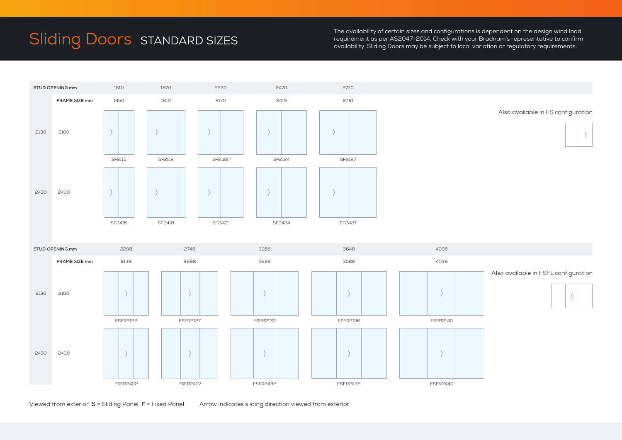# Sliding Doors STANDARD SIZES

The availability of certain sizes and configurations is dependent on the design wind load requirement as per AS2047-2014. Check with your Bradnam's representative to confirm availability. Sliding Doors may be subject to local variation or regulatory requirements.



Viewed from exterior: **S** = Sliding Panel, **F** = Fixed Panel Arrow indicates sliding direction viewed from exterior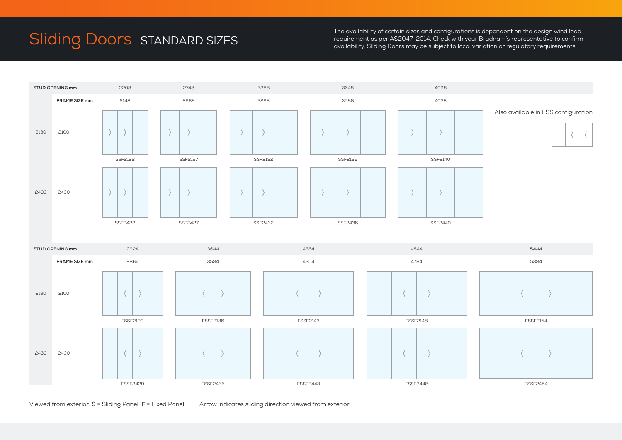# Sliding Doors STANDARD SIZES

The availability of certain sizes and configurations is dependent on the design wind load requirement as per AS2047-2014. Check with your Bradnam's representative to confirm availability. Sliding Doors may be subject to local variation or regulatory requirements.



Viewed from exterior: **S** = Sliding Panel, **F** = Fixed Panel Arrow indicates sliding direction viewed from exterior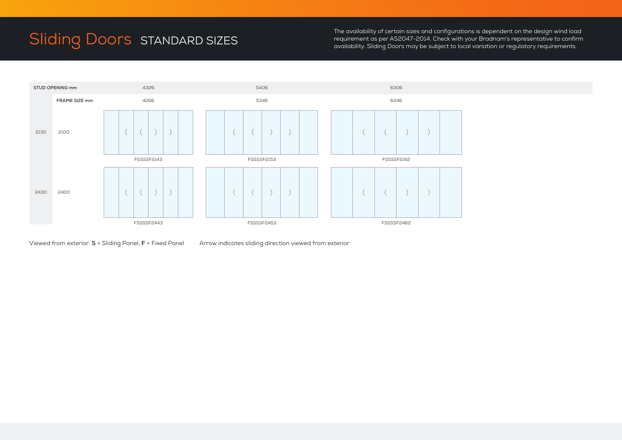# Sliding Doors STANDARD SIZES

The availability of certain sizes and configurations is dependent on the design wind load requirement as per AS2047-2014. Check with your Bradnam's representative to confirm availability. Sliding Doors may be subject to local variation or regulatory requirements.



Viewed from exterior: **S** = Sliding Panel, **F** = Fixed Panel Arrow indicates sliding direction viewed from exterior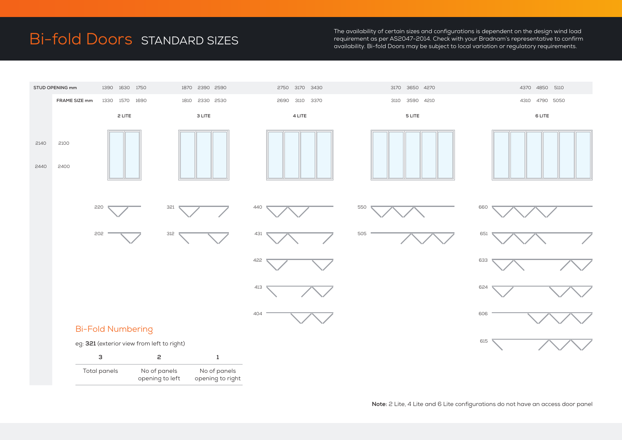# Bi-fold Doors STANDARD SIZES

The availability of certain sizes and configurations is dependent on the design wind load requirement as per AS2047-2014. Check with your Bradnam's representative to confirm availability. Bi-fold Doors may be subject to local variation or regulatory requirements.



**Note:** 2 Lite, 4 Lite and 6 Lite configurations do not have an access door panel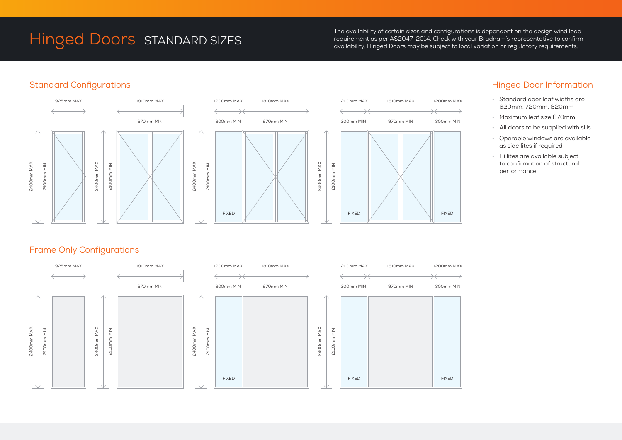# Hinged Doors STANDARD SIZES

The availability of certain sizes and configurations is dependent on the design wind load requirement as per AS2047-2014. Check with your Bradnam's representative to confirm availability. Hinged Doors may be subject to local variation or regulatory requirements.

## Standard Configurations







# Hinged Door Information

- Standard door leaf widths are 620mm, 720mm, 820mm
- Maximum leaf size 870mm
- All doors to be supplied with sills
- Operable windows are available as side lites if required
- Hi lites are available subject to confirmation of structural performance

# Frame Only Configurations